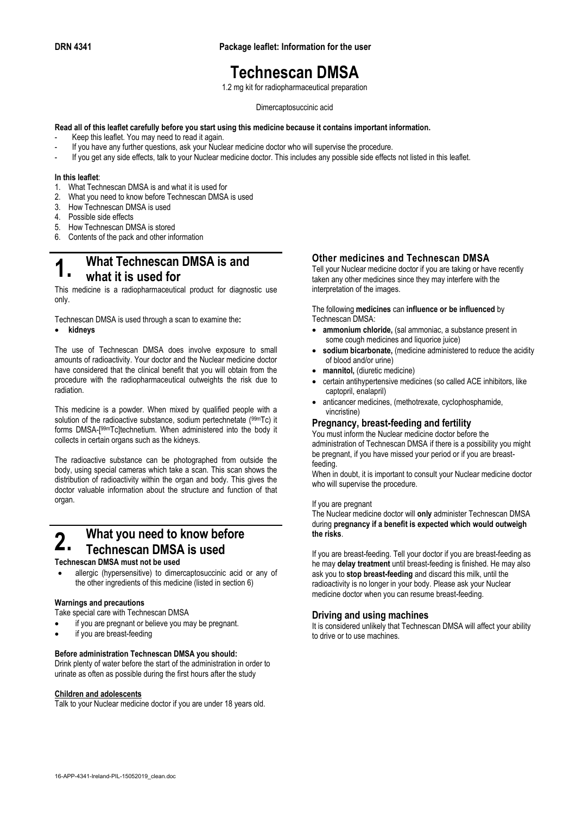**DRN 4341 Package leaflet: Information for the user**

## **Technescan DMSA**

1.2 mg kit for radiopharmaceutical preparation

#### Dimercaptosuccinic acid

#### **Read all of this leaflet carefully before you start using this medicine because it contains important information.**

- Keep this leaflet. You may need to read it again.
- If you have any further questions, ask your Nuclear medicine doctor who will supervise the procedure.
- If you get any side effects, talk to your Nuclear medicine doctor. This includes any possible side effects not listed in this leaflet.

#### **In this leaflet**:

- 1. What Technescan DMSA is and what it is used for
- 2. What you need to know before Technescan DMSA is used
- 3. How Technescan DMSA is used
- 4. Possible side effects
- 5. How Technescan DMSA is stored
- 6. Contents of the pack and other information

### **1. What Technescan DMSA is and what it is used for**

This medicine is a radiopharmaceutical product for diagnostic use only.

Technescan DMSA is used through a scan to examine the**:**

• **kidneys** 

The use of Technescan DMSA does involve exposure to small amounts of radioactivity. Your doctor and the Nuclear medicine doctor have considered that the clinical benefit that you will obtain from the procedure with the radiopharmaceutical outweights the risk due to radiation.

This medicine is a powder. When mixed by qualified people with a solution of the radioactive substance, sodium pertechnetate (99mTc) it forms DMSA-[ 99mTc]technetium. When administered into the body it collects in certain organs such as the kidneys.

The radioactive substance can be photographed from outside the body, using special cameras which take a scan. This scan shows the distribution of radioactivity within the organ and body. This gives the doctor valuable information about the structure and function of that organ.

### **2.** What you need to know before **Technescan DMSA is used**

#### **Technescan DMSA must not be used**

• allergic (hypersensitive) to dimercaptosuccinic acid or any of the other ingredients of this medicine (listed in section 6)

#### **Warnings and precautions**

Take special care with Technescan DMSA

- if you are pregnant or believe you may be pregnant.
- if you are breast-feeding

#### **Before administration Technescan DMSA you should:**

Drink plenty of water before the start of the administration in order to urinate as often as possible during the first hours after the study

#### **Children and adolescents**

Talk to your Nuclear medicine doctor if you are under 18 years old.

#### **Other medicines and Technescan DMSA**

Tell your Nuclear medicine doctor if you are taking or have recently taken any other medicines since they may interfere with the interpretation of the images.

The following **medicines** can **influence or be influenced** by Technescan DMSA:

- **ammonium chloride,** (sal ammoniac, a substance present in some cough medicines and liquorice juice)
- sodium bicarbonate, (medicine administered to reduce the acidity of blood and/or urine)
- **mannitol,** (diuretic medicine)
- certain antihypertensive medicines (so called ACE inhibitors, like captopril, enalapril)
- anticancer medicines, (methotrexate, cyclophosphamide, vincristine)

#### **Pregnancy, breast-feeding and fertility**

You must inform the Nuclear medicine doctor before the administration of Technescan DMSA if there is a possibility you might be pregnant, if you have missed your period or if you are breastfeeding.

When in doubt, it is important to consult your Nuclear medicine doctor who will supervise the procedure.

#### If you are pregnant

The Nuclear medicine doctor will **only** administer Technescan DMSA during **pregnancy if a benefit is expected which would outweigh the risks**.

If you are breast-feeding. Tell your doctor if you are breast-feeding as he may **delay treatment** until breast-feeding is finished. He may also ask you to **stop breast-feeding** and discard this milk, until the radioactivity is no longer in your body. Please ask your Nuclear medicine doctor when you can resume breast-feeding.

#### **Driving and using machines**

It is considered unlikely that Technescan DMSA will affect your ability to drive or to use machines.